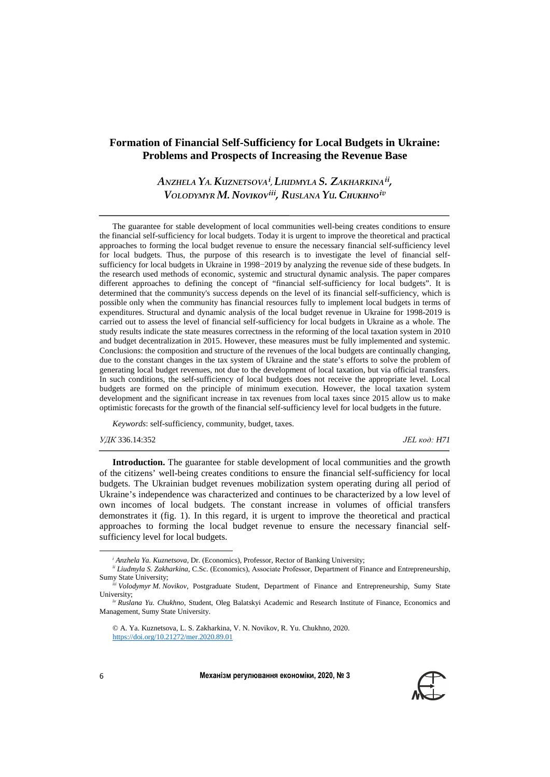## **Formation of Financial Self-Sufficiency for Local Budgets in Ukraine: Problems and Prospects of Increasing the Revenue Base**

*ANZHELA YA. KUZNETSOVA[i](#page-0-0) , LIUDMYLA S. ZAKHARKINA[ii,](#page-0-1) VOLODYMYR M. NOVIKOV[iii,](#page-0-2) RUSLANA YU. CHUKHNO[iv](#page-0-3)*

The guarantee for stable development of local communities well-being creates conditions to ensure the financial self-sufficiency for local budgets. Today it is urgent to improve the theoretical and practical approaches to forming the local budget revenue to ensure the necessary financial self-sufficiency level for local budgets. Thus, the purpose of this research is to investigate the level of financial selfsufficiency for local budgets in Ukraine in 1998−2019 by analyzing the revenue side of these budgets. In the research used methods of economic, systemic and structural dynamic analysis. The paper compares different approaches to defining the concept of "financial self-sufficiency for local budgets". It is determined that the community's success depends on the level of its financial self-sufficiency, which is possible only when the community has financial resources fully to implement local budgets in terms of expenditures. Structural and dynamic analysis of the local budget revenue in Ukraine for 1998-2019 is carried out to assess the level of financial self-sufficiency for local budgets in Ukraine as a whole. The study results indicate the state measures correctness in the reforming of the local taxation system in 2010 and budget decentralization in 2015. However, these measures must be fully implemented and systemic. Conclusions: the composition and structure of the revenues of the local budgets are continually changing, due to the constant changes in the tax system of Ukraine and the state's efforts to solve the problem of generating local budget revenues, not due to the development of local taxation, but via official transfers. In such conditions, the self-sufficiency of local budgets does not receive the appropriate level. Local budgets are formed on the principle of minimum execution. However, the local taxation system development and the significant increase in tax revenues from local taxes since 2015 allow us to make optimistic forecasts for the growth of the financial self-sufficiency level for local budgets in the future.

*Keywords*: self-sufficiency, community, budget, taxes.

*УДК* 336.14:352 *JEL код: H71*

**Introduction.** The guarantee for stable development of local communities and the growth of the citizens' well-being creates conditions to ensure the financial self-sufficiency for local budgets. The Ukrainian budget revenues mobilization system operating during all period of Ukraine's independence was characterized and continues to be characterized by a low level of own incomes of local budgets. The constant increase in volumes of official transfers demonstrates it (fig. 1). In this regard, it is urgent to improve the theoretical and practical approaches to forming the local budget revenue to ensure the necessary financial selfsufficiency level for local budgets.



l

*<sup>і</sup> Anzhela Ya. Kuznetsova,* Dr. (Economics), Professor, Rector of Banking University;

<span id="page-0-1"></span><span id="page-0-0"></span>*<sup>i</sup><sup>і</sup> Liudmyla S. Zakharkina*, C.Sc. (Economics), Аssociate Professor, Department of Finance and Entrepreneurship, Sumy State University;

<span id="page-0-2"></span>*<sup>i</sup>іі Volodymyr M. Novikov*, Postgraduate Student, Department of Finance and Entrepreneurship, Sumy State University;

<span id="page-0-3"></span>*iv Ruslana Yu. Chukhno*, Student, Oleg Balatskyi Academic and Research Institute of Finance, Economics and Management, Sumy State University.

<sup>©</sup> A. Ya. Kuznetsova, L. S. Zakharkina, V. N. Novikov, R. Yu. Chukhno, 2020. <https://doi.org/10.21272/mer.2020.89.01>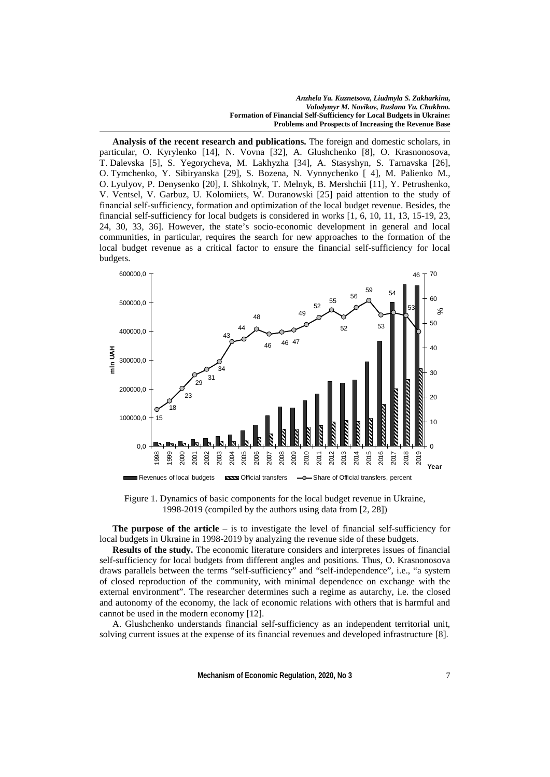**Analysis of the recent research and publications.** The foreign and domestic scholars, in particular, O. Kyrylenko [14], N. Vovna [32], A. Glushchenko [8], O. Krasnonosova, T. Dalevska [5], S. Yegorycheva, M. Lakhyzha [34], A. Stasyshyn, S. Tarnavska [26], O. Tymchenko, Y. Sibiryanska [29], S. Bozena, N. Vynnychenko [ 4], M. Palienko M., O. Lyulyov, P. Denysenko [20], I. Shkolnyk, T. Melnyk, B. Mershchii [11], Y. Petrushenko, V. Ventsel, V. Garbuz, U. Kolomiiets, W. Duranowski [25] paid attention to the study of financial self-sufficiency, formation and optimization of the local budget revenue. Besides, the financial self-sufficiency for local budgets is considered in works [1, 6, 10, 11, 13, 15-19, 23, 24, 30, 33, 36]. However, the state's socio-economic development in general and local communities, in particular, requires the search for new approaches to the formation of the local budget revenue as a critical factor to ensure the financial self-sufficiency for local budgets.



Figure 1. Dynamics of basic components for the local budget revenue in Ukraine, 1998-2019 (compiled by the authors using data from [2, 28])

**The purpose of the article** – is to investigate the level of financial self-sufficiency for local budgets in Ukraine in 1998-2019 by analyzing the revenue side of these budgets.

**Results of the study.** The economic literature considers and interpretes issues of financial self-sufficiency for local budgets from different angles and positions. Thus, O. Krasnonosova draws parallels between the terms "self-sufficiency" and "self-independence", i.e., "a system of closed reproduction of the community, with minimal dependence on exchange with the external environment". The researcher determines such a regime as autarchy, i.e. the closed and autonomy of the economy, the lack of economic relations with others that is harmful and cannot be used in the modern economy [12].

A. Glushchenko understands financial self-sufficiency as an independent territorial unit, solving current issues at the expense of its financial revenues and developed infrastructure [8].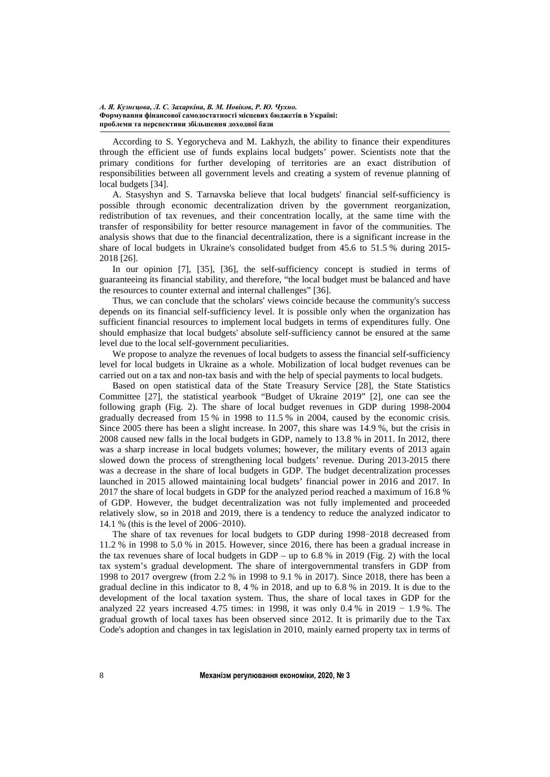According to S. Yegorycheva and M. Lakhyzh, the ability to finance their expenditures through the efficient use of funds explains local budgets' power. Scientists note that the primary conditions for further developing of territories are an exact distribution of responsibilities between all government levels and creating a system of revenue planning of local budgets [34].

A. Stasyshyn and S. Tarnavska believe that local budgets' financial self-sufficiency is possible through economic decentralization driven by the government reorganization, redistribution of tax revenues, and their concentration locally, at the same time with the transfer of responsibility for better resource management in favor of the communities. The analysis shows that due to the financial decentralization, there is a significant increase in the share of local budgets in Ukraine's consolidated budget from 45.6 to 51.5 % during 2015- 2018 [26].

In our opinion [7], [35], [36], the self-sufficiency concept is studied in terms of guaranteeing its financial stability, and therefore, "the local budget must be balanced and have the resources to counter external and internal challenges" [36].

Thus, we can conclude that the scholars' views coincide because the community's success depends on its financial self-sufficiency level. It is possible only when the organization has sufficient financial resources to implement local budgets in terms of expenditures fully. One should emphasize that local budgets' absolute self-sufficiency cannot be ensured at the same level due to the local self-government peculiarities.

We propose to analyze the revenues of local budgets to assess the financial self-sufficiency level for local budgets in Ukraine as a whole. Mobilization of local budget revenues can be carried out on a tax and non-tax basis and with the help of special payments to local budgets.

Based on open statistical data of the State Treasury Service [28], the State Statistics Committee [27], the statistical yearbook "Budget of Ukraine 2019" [2], one can see the following graph (Fig. 2). The share of local budget revenues in GDP during 1998-2004 gradually decreased from 15 % in 1998 to 11.5 % in 2004, caused by the economic crisis. Since 2005 there has been a slight increase. In 2007, this share was 14.9 %, but the crisis in 2008 caused new falls in the local budgets in GDP, namely to 13.8 % in 2011. In 2012, there was a sharp increase in local budgets volumes; however, the military events of 2013 again slowed down the process of strengthening local budgets' revenue. During 2013-2015 there was a decrease in the share of local budgets in GDP. The budget decentralization processes launched in 2015 allowed maintaining local budgets' financial power in 2016 and 2017. In 2017 the share of local budgets in GDP for the analyzed period reached a maximum of 16.8 % of GDP. However, the budget decentralization was not fully implemented and proceeded relatively slow, so in 2018 and 2019, there is a tendency to reduce the analyzed indicator to 14.1 % (this is the level of 2006−2010).

The share of tax revenues for local budgets to GDP during 1998−2018 decreased from 11.2 % in 1998 to 5.0 % in 2015. However, since 2016, there has been a gradual increase in the tax revenues share of local budgets in GDP – up to  $6.8\%$  in 2019 (Fig. 2) with the local tax system's gradual development. The share of intergovernmental transfers in GDP from 1998 to 2017 overgrew (from 2.2 % in 1998 to 9.1 % in 2017). Since 2018, there has been a gradual decline in this indicator to 8, 4 % in 2018, and up to 6.8 % in 2019. It is due to the development of the local taxation system. Thus, the share of local taxes in GDP for the analyzed 22 years increased 4.75 times: in 1998, it was only 0.4 % in 2019  $-1.9$  %. The gradual growth of local taxes has been observed since 2012. It is primarily due to the Tax Code's adoption and changes in tax legislation in 2010, mainly earned property tax in terms of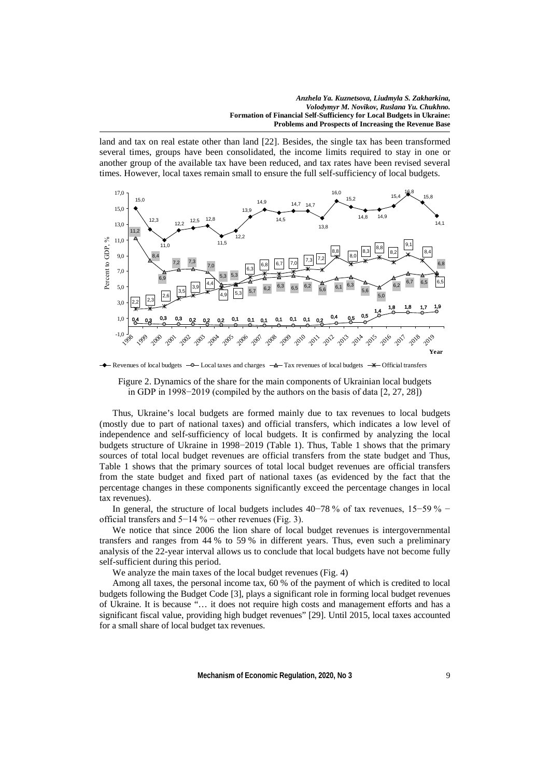land and tax on real estate other than land [22]. Besides, the single tax has been transformed several times, groups have been consolidated, the income limits required to stay in one or another group of the available tax have been reduced, and tax rates have been revised several times. However, local taxes remain small to ensure the full self-sufficiency of local budgets.



Revenues of local budgets  $-\theta$  Local taxes and charges  $-\theta$  Tax revenues of local budgets  $-\ast$  Official transfers



Thus, Ukraine's local budgets are formed mainly due to tax revenues to local budgets (mostly due to part of national taxes) and official transfers, which indicates a low level of independence and self-sufficiency of local budgets. It is confirmed by analyzing the local budgets structure of Ukraine in 1998−2019 (Table 1). Thus, Table 1 shows that the primary sources of total local budget revenues are official transfers from the state budget and Thus, Table 1 shows that the primary sources of total local budget revenues are official transfers from the state budget and fixed part of national taxes (as evidenced by the fact that the percentage changes in these components significantly exceed the percentage changes in local tax revenues).

In general, the structure of local budgets includes 40−78 % of tax revenues, 15−59 % − official transfers and 5−14 % − other revenues (Fig. 3).

We notice that since 2006 the lion share of local budget revenues is intergovernmental transfers and ranges from 44 % to 59 % in different years. Thus, even such a preliminary analysis of the 22-year interval allows us to conclude that local budgets have not become fully self-sufficient during this period.

We analyze the main taxes of the local budget revenues (Fig. 4)

Among all taxes, the personal income tax, 60 % of the payment of which is credited to local budgets following the Budget Code [3], plays a significant role in forming local budget revenues of Ukraine. It is because "… it does not require high costs and management efforts and has a significant fiscal value, providing high budget revenues" [29]. Until 2015, local taxes accounted for a small share of local budget tax revenues.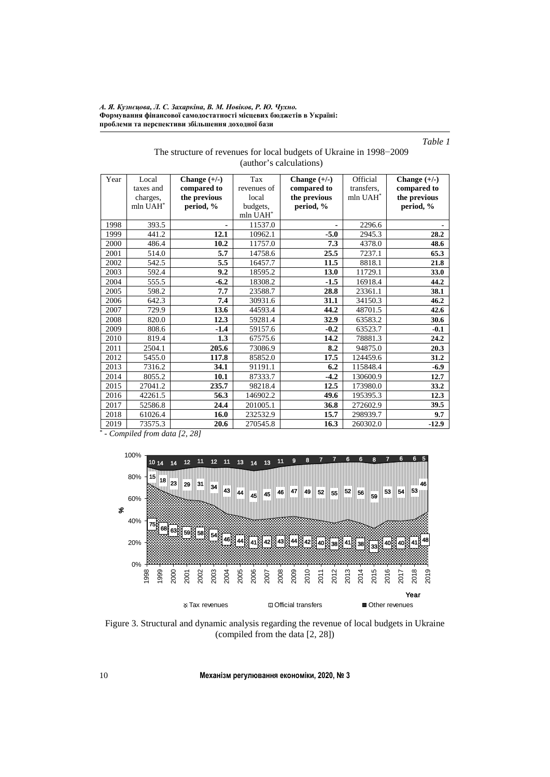*Table 1*

| The structure of revenues for local budgets of Ukraine in 1998–2009 |  |  |  |  |  |  |  |
|---------------------------------------------------------------------|--|--|--|--|--|--|--|
| (author's calculations)                                             |  |  |  |  |  |  |  |

| Year | Local     | Change $(+/-)$ | Tax         | Change $(+/-)$ | Official    | Change $(+/-)$ |
|------|-----------|----------------|-------------|----------------|-------------|----------------|
|      | taxes and | compared to    | revenues of | compared to    | transfers,  | compared to    |
|      | charges,  | the previous   | local       | the previous   | mln $UAH^*$ | the previous   |
|      | mln UAH*  | period, %      | budgets,    | period, %      |             | period, %      |
|      |           |                | mln UAH*    |                |             |                |
| 1998 | 393.5     | ٠              | 11537.0     |                | 2296.6      |                |
| 1999 | 441.2     | 12.1           | 10962.1     | $-5.0$         | 2945.3      | 28.2           |
| 2000 | 486.4     | 10.2           | 11757.0     | 7.3            | 4378.0      | 48.6           |
| 2001 | 514.0     | 5.7            | 14758.6     | 25.5           | 7237.1      | 65.3           |
| 2002 | 542.5     | 5.5            | 16457.7     | 11.5           | 8818.1      | 21.8           |
| 2003 | 592.4     | 9.2            | 18595.2     | 13.0           | 11729.1     | 33.0           |
| 2004 | 555.5     | $-6.2$         | 18308.2     | $-1.5$         | 16918.4     | 44.2           |
| 2005 | 598.2     | 7.7            | 23588.7     | 28.8           | 23361.1     | 38.1           |
| 2006 | 642.3     | 7.4            | 30931.6     | 31.1           | 34150.3     | 46.2           |
| 2007 | 729.9     | 13.6           | 44593.4     | 44.2           | 48701.5     | 42.6           |
| 2008 | 820.0     | 12.3           | 59281.4     | 32.9           | 63583.2     | 30.6           |
| 2009 | 808.6     | $-1.4$         | 59157.6     | $-0.2$         | 63523.7     | $-0.1$         |
| 2010 | 819.4     | 1.3            | 67575.6     | 14.2           | 78881.3     | 24.2           |
| 2011 | 2504.1    | 205.6          | 73086.9     | 8.2            | 94875.0     | 20.3           |
| 2012 | 5455.0    | 117.8          | 85852.0     | 17.5           | 124459.6    | 31.2           |
| 2013 | 7316.2    | 34.1           | 91191.1     | 6.2            | 115848.4    | $-6.9$         |
| 2014 | 8055.2    | 10.1           | 87333.7     | $-4.2$         | 130600.9    | 12.7           |
| 2015 | 27041.2   | 235.7          | 98218.4     | 12.5           | 173980.0    | 33.2           |
| 2016 | 42261.5   | 56.3           | 146902.2    | 49.6           | 195395.3    | 12.3           |
| 2017 | 52586.8   | 24.4           | 201005.1    | 36.8           | 272602.9    | 39.5           |
| 2018 | 61026.4   | 16.0           | 232532.9    | 15.7           | 298939.7    | 9.7            |
| 2019 | 73575.3   | 20.6           | 270545.8    | 16.3           | 260302.0    | $-12.9$        |

*\* - Compiled from data [2, 28]*



Figure 3. Structural and dynamic analysis regarding the revenue of local budgets in Ukraine (compiled from the data [2, 28])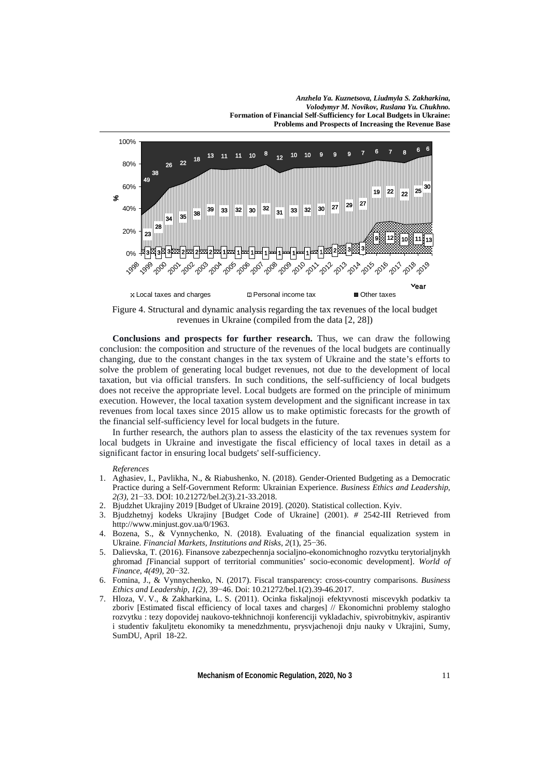

Figure 4. Structural and dynamic analysis regarding the tax revenues of the local budget revenues in Ukraine (compiled from the data [2, 28])

**Conclusions and prospects for further research.** Thus, we can draw the following conclusion: the composition and structure of the revenues of the local budgets are continually changing, due to the constant changes in the tax system of Ukraine and the state's efforts to solve the problem of generating local budget revenues, not due to the development of local taxation, but via official transfers. In such conditions, the self-sufficiency of local budgets does not receive the appropriate level. Local budgets are formed on the principle of minimum execution. However, the local taxation system development and the significant increase in tax revenues from local taxes since 2015 allow us to make optimistic forecasts for the growth of the financial self-sufficiency level for local budgets in the future.

In further research, the authors plan to assess the elasticity of the tax revenues system for local budgets in Ukraine and investigate the fiscal efficiency of local taxes in detail as a significant factor in ensuring local budgets' self-sufficiency.

## *References*

- 1. Aghasiev, I., Pavlikha, N., & Riabushenko, N. (2018). Gender-Oriented Budgeting as a Democratic Practice during a Self-Government Reform: Ukrainian Experience. *Business Ethics and Leadership, 2(3)*, 21−33. DOI: 10.21272/bel.2(3).21-33.2018.
- 2. Bjudzhet Ukrajiny 2019 [Budget of Ukraine 2019]. (2020). Statistical collection. Kyiv.
- 3. Bjudzhetnyj kodeks Ukrajiny [Budget Code of Ukraine] (2001). *#* 2542-ІІІ Retrieved from [http://www.minjust.gov.ua/0/1963.](http://www.minjust.gov.ua/0/1963)
- 4. Bozena, S., & Vynnychenko, N. (2018). Evaluating of the financial equalization system in Ukraine. *Financial Markets, Institutions and Risks, 2*(1), 25−36.
- 5. Dalievska, T. (2016). Finansove zabezpechennja socialjno-ekonomichnogho rozvytku terytorialjnykh ghromad *[*Financial support of territorial communities' socio-economic development]. *World of Finance*, *4(49)*, 20−32.
- 6. Fomina, J., & Vynnychenko, N. (2017). Fiscal transparency: cross-country comparisons. *Business Ethics and Leadership, 1(2),* 39−46. Doi: 10.21272/bel.1(2).39-46.2017.
- 7. Hloza, V. V., & Zakharkina, L. S. (2011). Ocinka fiskaljnoji efektyvnosti miscevykh podatkiv ta zboriv [Estimated fiscal efficiency of local taxes and charges] // Ekonomichni problemy stalogho rozvytku : tezy dopovidej naukovo-tekhnichnoji konferenciji vykladachiv, spivrobitnykiv, aspirantiv i studentiv fakuljtetu ekonomiky ta menedzhmentu, prysvjachenoji dnju nauky v Ukrajini, Sumy, SumDU, April 18-22.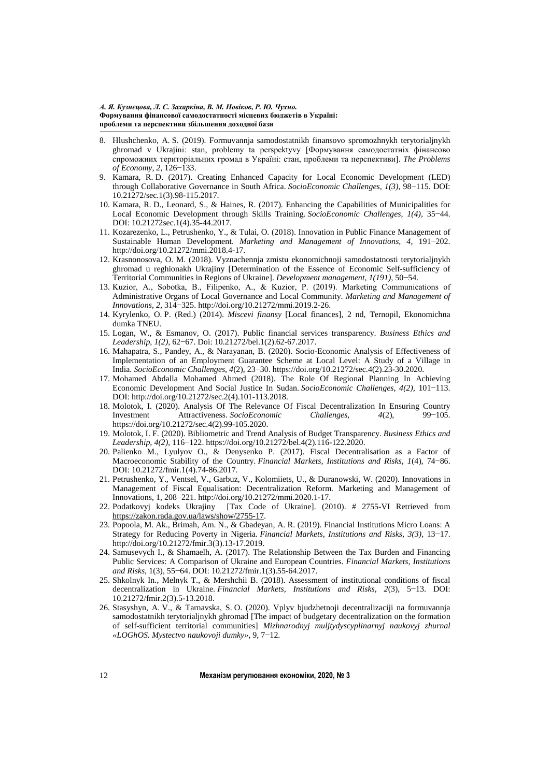- 8. Hlushchenko, A. S. (2019). Formuvannja samodostatnikh finansovo spromozhnykh terytorialjnykh ghromad v Ukrajini: stan, problemy ta perspektyvy [Формування самодостатніх фінансово спроможних територіальних громад в Україні: стан, проблеми та перспективи]. *The Problems of Economy, 2,* 126−133.
- 9. Kamara, R. D. (2017). Creating Enhanced Capacity for Local Economic Development (LED) through Collaborative Governance in South Africa. *SocioEconomic Challenges, 1(3),* 98−115. DOI: 10.21272/sec.1(3).98-115.2017.
- 10. Kamara, R. D., Leonard, S., & Haines, R. (2017). Enhancing the Capabilities of Municipalities for Local Economic Development through Skills Training. *SocioEconomic Challenges, 1(4),* 35−44. DOI: 10.21272sec.1(4).35-44.2017.
- 11. Kozarezenko, L., Petrushenko, Y., & Tulai, O. (2018). Innovation in Public Finance Management of Sustainable Human Development. *Marketing and Management of Innovations, 4,* 191−202. http://doi.org/10.21272/mmi.2018.4-17.
- 12. Krasnonosova, O. M. (2018). Vyznachennja zmistu ekonomichnoji samodostatnosti terytorialjnykh ghromad u reghionakh Ukrajiny [Determination of the Essence of Economic Self-sufficiency of Territorial Communities in Regions of Ukraine]. *Development management*, *1(191),* 50−54.
- 13. Kuzior, A., Sobotka, B., Filipenko, А., & Kuzior, P. (2019). Marketing Communications of Administrative Organs of Local Governance and Local Community. *Marketing and Management of Innovations, 2*, 314−325[. http://doi.org/10.21272/mmi.2019.2-26.](http://doi.org/10.21272/mmi.2019.2-26)
- 14. Kyrylenko, O. P. (Red.) (2014). *Miscevi finansy* [Local finances], 2 nd, Ternopil, Ekonomichna dumka TNEU.
- 15. Logan, W., & Esmanov, O. (2017). Public financial services transparency. *Business Ethics and Leadership*, *1(2)*, 62−67. Doi: 10.21272/bel.1(2).62-67.2017.
- 16. Mahapatra, S., Pandey, A., & Narayanan, B. (2020). Socio-Economic Analysis of Effectiveness of Implementation of an Employment Guarantee Scheme at Local Level: A Study of a Village in India. *SocioEconomic Challenges, 4*(2), 23−30[. https://doi.org/10.21272/sec.4\(2\).23-30.2020.](https://doi.org/10.21272/sec.4(2).23-30.2020)
- 17. Mohamed Abdalla Mohamed Ahmed (2018). The Role Of Regional Planning In Achieving Economic Development And Social Justice In Sudan. *SocioEconomic Challenges, 4(2),* 101−113. DOI: [http://doi.org/10.21272/sec.2\(4\).101-113.2018.](http://doi.org/10.21272/sec.2(4).101-113.2018)
- 18. Molotok, I. (2020). Analysis Of The Relevance Of Fiscal Decentralization In Ensuring Country Investment Attractiveness. *SocioEconomic Challenges, 4*(2), 99−105. [https://doi.org/10.21272/sec.4\(2\).99-105.2020.](https://doi.org/10.21272/sec.4(2).99-105.2020)
- 19. Molotok, I. F. (2020). Bibliometric and Trend Analysis of Budget Transparency. *Business Ethics and Leadership, 4(2),* 116−122. [https://doi.org/10.21272/bel.4\(2\).116-122.2020.](https://doi.org/10.21272/bel.4(2).116-122.2020)
- 20. Palienko M., Lyulyov O., & Denysenko P. (2017). Fiscal Decentralisation as a Factor of Macroeconomic Stability of the Country. *Financial Markets, Institutions and Risks, 1*(4), 74−86. DOI: 10.21272/fmir.1(4).74-86.2017.
- 21. Petrushenko, Y., Ventsel, V., Garbuz, V., Kolomiiets, U., & Duranowski, W. (2020). Innovations in Management of Fiscal Equalisation: Decentralization Reform. Marketing and Management of Innovations, 1, 208−221[. http://doi.org/10.21272/mmi.2020.1-17.](http://doi.org/10.21272/mmi.2020.1-17)
- 22. Podatkovyj kodeks Ukrajiny [Tax Code of Ukraine]. (2010). # 2755-VI Retrieved from [https://zakon.rada.gov.ua/laws/show/2755-17.](https://zakon.rada.gov.ua/laws/show/2755-17)
- 23. Popoola, M. Ak., Brimah, Am. N., & Gbadeyan, A. R. (2019). Financial Institutions Micro Loans: A Strategy for Reducing Poverty in Nigeria. *Financial Markets, Institutions and Risks, 3(3),* 13−17. [http://doi.org/10.21272/fmir.3\(3\).13-17.2019.](http://doi.org/10.21272/fmir.3(3).13-17.2019)
- 24. Samusevych I., & Shamaelh, A. (2017). The Relationship Between the Tax Burden and Financing Public Services: A Comparison of Ukraine and European Countries. *Financial Markets, Institutions and Risks*, 1(3), 55−64. DOI: 10.21272/fmir.1(3).55-64.2017.
- 25. Shkolnyk In., Melnyk T., & Mershchii B. (2018). Assessment of institutional conditions of fiscal decentralization in Ukraine. *Financial Markets, Institutions and Risks, 2*(3), 5−13. DOI: 10.21272/fmir.2(3).5-13.2018.
- 26. Stasyshyn, A. V., & Tarnavska, S. O. (2020). Vplyv bjudzhetnoji decentralizaciji na formuvannja samodostatnikh terytorialjnykh ghromad [The impact of budgetary decentralization on the formation of self-sufficient territorial communities] *Mizhnarodnyj muljtydyscyplinarnyj naukovyj zhurnal «LOGhOS. Mystectvo naukovoji dumky»*, 9, 7−12.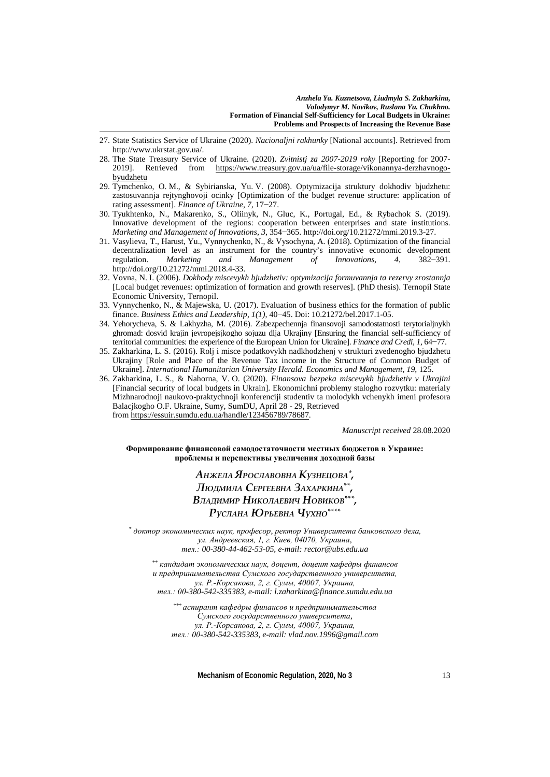- 27. State Statistics Service of Ukraine (2020). *Nacionaljni rakhunky* [National accounts]. Retrieved from http://www.ukrstat.gov.ua/.
- 28. The State Treasury Service of Ukraine. (2020). *Zvitnistj za 2007-2019 roky* [Reporting for 2007- 2019]. Retrieved from [https://www.treasury.gov.ua/ua/file-storage/vikonannya-derzhavnogo](https://www.treasury.gov.ua/ua/file-storage/vikonannya-derzhavnogo-byudzhetu)[byudzhetu](https://www.treasury.gov.ua/ua/file-storage/vikonannya-derzhavnogo-byudzhetu)
- 29. Tymchenko, O. M., & Sybirianska, Yu. V. (2008). Optymizacija struktury dokhodiv bjudzhetu: zastosuvannja rejtynghovoji ocinky [Optimization of the budget revenue structure: application of rating assessment]. *Finance of Ukraine, 7*, 17−27.
- 30. Tyukhtenko, N., Makarenko, S., Oliinyk, N., Gluc, K., Portugal, Ed., & Rybachok S. (2019). Innovative development of the regions: cooperation between enterprises and state institutions. *Marketing and Management of Innovations, 3,* 354−365[. http://doi.org/10.21272/mmi.2019.3-27.](http://doi.org/10.21272/mmi.2019.3-27)
- 31. Vasylieva, T., Harust, Yu., Vynnychenko, N., & Vysochyna, A. (2018). Optimization of the financial decentralization level as an instrument for the country's innovative economic development<br>regulation. Marketing and Management of Innovations. 4. 382–391. regulation. *Marketing and Management* [http://doi.org/10.21272/mmi.2018.4-33.](http://doi.org/10.21272/mmi.2018.4-33)
- 32. Vovna, N. I. (2006). *Dokhody miscevykh bjudzhetiv: optymizacija formuvannja ta rezervy zrostannja*  [Local budget revenues: optimization of formation and growth reserves]. (PhD thesis). Ternopil State Economic University, Ternopil.
- 33. Vynnychenko, N., & Majewska, U. (2017). Evaluation of business ethics for the formation of public finance. *Business Ethics and Leadership, 1(1),* 40−45. Doi: 10.21272/bel.2017.1-05.
- 34. Yehorycheva, S. & Lakhyzha, M. (2016). Zabezpechennja finansovoji samodostatnosti terytorialjnykh ghromad: dosvid krajin jevropejsjkogho sojuzu dlja Ukrajiny [Ensuring the financial self-sufficiency of territorial communities: the experience of the European Union for Ukraine]. *Finance and Credi, 1,* 64−77.
- 35. Zakharkina, L. S. (2016). Rolj i misce podatkovykh nadkhodzhenj v strukturi zvedenogho bjudzhetu Ukrajiny [Role and Place of the Revenue Tax income in the Structure of Common Budget of Ukraine]. *International Humanitarian University Herald. Economics and Management*, *19*, 125.
- 36. Zakharkina, L. S., & Nahorna, V. O. (2020). *Finansova bezpeka miscevykh bjudzhetiv v Ukrajini*  [Financial security of local budgets in Ukrain]. Ekonomichni problemy stalogho rozvytku: materialy Mizhnarodnoji naukovo-praktychnoji konferenciji studentiv ta molodykh vchenykh imeni profesora Balacjkogho O.F. Ukraine, Sumy, SumDU, April 28 - 29, Retrieved from [https://essuir.sumdu.edu.ua/handle/123456789/78687.](https://essuir.sumdu.edu.ua/handle/123456789/78687)

*Manuscript received* 28.08.2020

**Формирование финансовой самодостаточности местных бюджетов в Украине: проблемы и перспективы увеличения доходной базы**

## *АНЖЕЛА ЯРОСЛАВОВНА КУЗНЕЦОВА\*, ЛЮДМИЛА СЕРГЕЕВНА ЗАХАРКИНА\*\*, ВЛАДИМИР НИКОЛАЕВИЧ НОВИКОВ\*\*\*, РУСЛАНА ЮРЬЕВНА ЧУХНО\*\*\*\**

*\* доктор экономических наук, професор, ректор Университета банковского дела, ул. Андреевская, 1, г. Киев, 04070, Украина, тел.: 00-380-44-462-53-05, e-mail: rector@ubs.edu.ua*

*\*\* кандидат экономических наук, доцент, доцент кафедры финансов и предпринимательства Сумского государственного университета, ул. Р.-Корсакова, 2, г. Сумы, 40007, Украина, тел.: 00-380-542-335383, e-mail: l.zaharkina@finance.sumdu.edu.ua*

*\*\*\* аспирант кафедры финансов и предпринимательства Сумского государственного университета, ул. Р.-Корсакова, 2, г. Сумы, 40007, Украина, тел.: 00-380-542-335383, e-mail: vlad.nov.1996@gmail.com*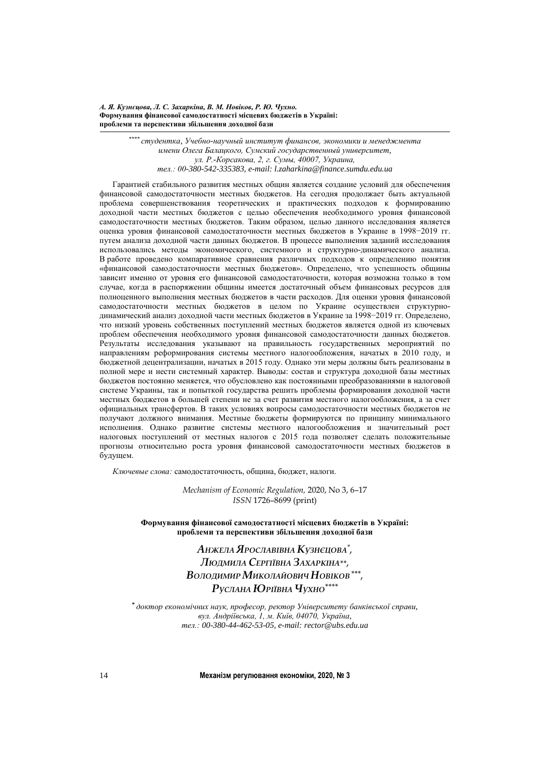*А. Я. Кузнєцова, Л. С. Захаркіна, В. М. Новіков, Р. Ю. Чухно.* **Формування фінансової самодостатності місцевих бюджетів в Україні: проблеми та перспективи збільшення доходної бази**

> *\*\*\*\* студентка, Учебно-научный институт финансов, экономики и менеджмента имени Олега Балацкого, Сумский государственный университет, ул. Р.-Корсакова, 2, г. Сумы, 40007, Украина, тел.: 00-380-542-335383, e-mail: l.zaharkina@finance.sumdu.edu.ua*

Гарантией стабильного развития местных общин является создание условий для обеспечения финансовой самодостаточности местных бюджетов. На сегодня продолжает быть актуальной проблема совершенствования теоретических и практических подходов к формированию доходной части местных бюджетов с целью обеспечения необходимого уровня финансовой самодостаточности местных бюджетов. Таким образом, целью данного исследования является оценка уровня финансовой самодостаточности местных бюджетов в Украине в 1998−2019 гг. путем анализа доходной части данных бюджетов. В процессе выполнения заданий исследования использовались методы экономического, системного и структурно-динамического анализа. В работе проведено компаративное сравнения различных подходов к определению понятия «финансовой самодостаточности местных бюджетов». Определено, что успешность общины зависит именно от уровня его финансовой самодостаточности, которая возможна только в том случае, когда в распоряжении общины имеется достаточный объем финансовых ресурсов для полноценного выполнения местных бюджетов в части расходов. Для оценки уровня финансовой самодостаточности местных бюджетов в целом по Украине осуществлен структурнодинамический анализ доходной части местных бюджетов в Украине за 1998−2019 гг. Определено, что низкий уровень собственных поступлений местных бюджетов является одной из ключевых проблем обеспечения необходимого уровня финансовой самодостаточности данных бюджетов. Результаты исследования указывают на правильность государственных мероприятий по направлениям реформирования системы местного налогообложения, начатых в 2010 году, и бюджетной децентрализации, начатых в 2015 году. Однако эти меры должны быть реализованы в полной мере и нести системный характер. Выводы: состав и структура доходной базы местных бюджетов постоянно меняется, что обусловлено как постоянными преобразованиями в налоговой системе Украины, так и попыткой государства решить проблемы формирования доходной части местных бюджетов в большей степени не за счет развития местного налогообложения, а за счет официальных трансфертов. В таких условиях вопросы самодостаточности местных бюджетов не получают должного внимания. Местные бюджеты формируются по принципу минимального исполнения. Однако развитие системы местного налогообложения и значительный рост налоговых поступлений от местных налогов с 2015 года позволяет сделать положительные прогнозы относительно роста уровня финансовой самодостаточности местных бюджетов в будущем.

*Ключевые слова:* самодостаточность, община, бюджет, налоги.

*Mechanism of Economic Regulation,* 2020, No 3, 6–17 *ISSN* 1726–8699 (print)

**Формування фінансової самодостатності місцевих бюджетів в Україні: проблеми та перспективи збільшення доходної бази**

> *АНЖЕЛА ЯРОСЛАВІВНА КУЗНЄЦОВА\*, ЛЮДМИЛА СЕРГІЇВНА ЗАХАРКІНА\*\*, ВОЛОДИМИР МИКОЛАЙОВИЧ НОВІКОВ\*\*\*, РУСЛАНА ЮРІЇВНА ЧУХНО\*\*\*\**

**\*** *доктор економічних наук, професор, ректор Університету банківської справи, вул. Андріївська, 1, м. Київ, 04070, Україна, тел.: 00-380-44-462-53-05, e-mail: rector@ubs.edu.ua*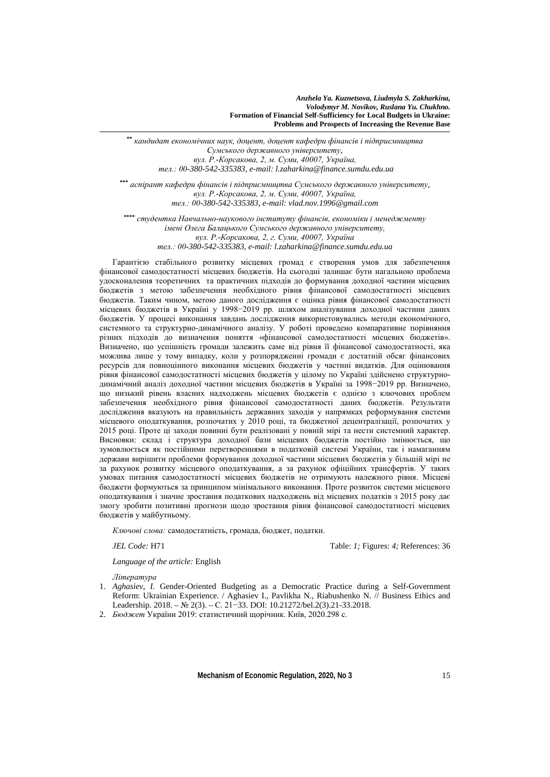**\*\*** *кандидат економічних наук, доцент, доцент кафедри фінансів і підприємництва Сумського державного університету, вул. Р.-Корсакова, 2, м. Суми, 40007, Україна, тел.: 00-380-542-335383, e-mail: l.zaharkina@finance.sumdu.edu.ua*

**\*\*\*** *аспірант кафедри фінансів і підприємництва Сумського державного університету, вул. Р.-Корсакова, 2, м. Суми, 40007, Україна, тел.: 00-380-542-335383, e-mail: vlad.nov.1996@gmail.com*

**\*\*\*\*** *студентка Навчально-наукового інституту фінансів, економіки і менеджменту імені Олега Балацького Сумського державного університету, вул. Р.-Корсакова, 2, г. Суми, 40007, Україна тел.: 00-380-542-335383, e-mail: l.zaharkina@finance.sumdu.edu.ua*

Гарантією стабільного розвитку місцевих громад є створення умов для забезпечення фінансової самодостатності місцевих бюджетів. На сьогодні залишає бути нагальною проблема удосконалення теоретичних та практичних підходів до формування доходної частини місцевих бюджетів з метою забезпечення необхідного рівня фінансової самодостатності місцевих бюджетів. Таким чином, метою даного дослідження є оцінка рівня фінансової самодостатності місцевих бюджетів в Україні у 1998−2019 рр. шляхом аналізування доходної частини даних бюджетів. У процесі виконання завдань дослідження використовувались методи економічного, системного та структурно-динамічного аналізу. У роботі проведено компаративне порівняння різних підходів до визначення поняття «фінансової самодостатності місцевих бюджетів». Визначено, що успішність громади залежить саме від рівня її фінансової самодостатності, яка можлива лише у тому випадку, коли у розпорядженні громади є достатній обсяг фінансових ресурсів для повноцінного виконання місцевих бюджетів у частині видатків. Для оцінювання рівня фінансової самодостатності місцевих бюджетів у цілому по Україні здійснено структурнодинамічний аналіз доходної частини місцевих бюджетів в Україні за 1998−2019 рр. Визначено, що низький рівень власних надходжень місцевих бюджетів є однією з ключових проблем забезпечення необхідного рівня фінансової самодостатності даних бюджетів. Результати дослідження вказують на правильність державних заходів у напрямках реформування системи місцевого оподаткування, розпочатих у 2010 році, та бюджетної децентралізації, розпочатих у 2015 році. Проте ці заходи повинні бути реалізовані у повній мірі та нести системний характер. Висновки: склад і структура доходної бази місцевих бюджетів постійно змінюється, що зумовлюється як постійними перетвореннями в податковій системі України, так і намаганням держави вирішити проблеми формування доходної частини місцевих бюджетів у більшій мірі не за рахунок розвитку місцевого оподаткування, а за рахунок офіційних трансфертів. У таких умовах питання самодостатності місцевих бюджетів не отримують належного рівня. Місцеві бюджети формуються за принципом мінімального виконання. Проте розвиток системи місцевого оподаткування і значне зростання податкових надходжень від місцевих податків з 2015 року дає змогу зробити позитивні прогнози щодо зростання рівня фінансової самодостатності місцевих бюджетів у майбутньому.

*Ключові слова:* самодостатність, громада, бюджет, податки.

*JEL Code:* H71 Table: *1;* Figures: *4;* References: 36

*Language of the article:* English

*Література* 

- 1. *Aghasiev, I.* Gender-Oriented Budgeting as a Democratic Practice during a Self-Government Reform: Ukrainian Experience. / Aghasiev I., Pavlikha N., Riabushenko N. // Business Ethics and Leadership. 2018. – № 2(3). – С. 21−33. DOI: 10.21272/bel.2(3).21-33.2018.
- 2. *Бюджет* України 2019: статистичний щорічник. Київ, 2020.298 с.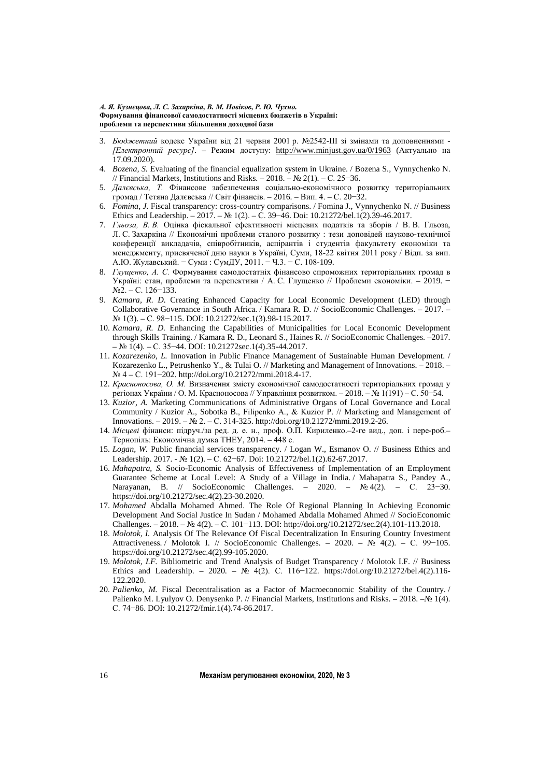- 3. *Бюджетний* кодекс України від 21 червня 2001 р. №2542-ІІІ зі змінами та доповненнями *[Електронний ресурс]*. – Режим доступу: <http://www.minjust.gov.ua/0/1963> (Актуально на 17.09.2020).
- 4. *Bozena, S.* Evaluating of the financial equalization system in Ukraine. / Bozena S., Vynnychenko N. // Financial Markets, Institutions and Risks. – 2018. – № 2(1). – С. 25−36.
- 5. *Далєвська, Т.* Фінансове забезпечення соціально-економічного розвитку територіальних громад / Тетяна Далєвська // Світ фінансів. – 2016. – Вип. 4. – С. 20−32.
- 6. *Fomina, J.* Fiscal transparency: cross-country comparisons. / Fomina J., Vynnychenko N. // Business Ethics and Leadership. – 2017. – № 1(2). – С. 39−46. Doi: 10.21272/bel.1(2).39-46.2017.
- 7. *Гльоза, В. В.* Оцінка фіскальної ефективності місцевих податків та зборів / В. В. Гльоза, Л. С. Захаркіна // Економічні проблеми сталого розвитку : тези доповідей науково-технічної конференції викладачів, співробітників, аспірантів і студентів факультету економіки та менеджменту, присвяченої дню науки в Україні, Суми, 18-22 квітня 2011 року / Відп. за вип. А.Ю. Жулавський. − Суми : СумДУ, 2011. − Ч.3. − С. 108-109.
- 8. *Глущенко, А. С.* Формування самодостатніх фінансово спроможних територіальних громад в Україні: стан, проблеми та перспективи / А. С. Глущенко // Проблеми економіки. – 2019. − №2. – С. 126−133.
- 9. *Kamara, R. D.* Creating Enhanced Capacity for Local Economic Development (LED) through Collaborative Governance in South Africa. / Kamara R. D. // SocioEconomic Challenges. – 2017. – № 1(3). – С. 98−115. DOI: 10.21272/sec.1(3).98-115.2017.
- 10. *Kamara, R. D.* Enhancing the Capabilities of Municipalities for Local Economic Development through Skills Training. / Kamara R. D., Leonard S., Haines R. // SocioEconomic Challenges. –2017. – № 1(4). – С. 35−44. DOI: 10.21272sec.1(4).35-44.2017.
- 11. *Kozarezenko, L.* Innovation in Public Finance Management of Sustainable Human Development. / Kozarezenko L., Petrushenko Y., & Tulai O. // Marketing and Management of Innovations. – 2018. – № 4 – С. 191−202. http://doi.org/10.21272/mmi.2018.4-17.
- 12. *Красноносова, О. М.* Визначення змісту економічної самодостатності територіальних громад у регіонах України / О. М. Красноносова // Управління розвитком. – 2018. – № 1(191) – С. 50−54.
- 13. *Kuzior, A.* Marketing Communications of Administrative Organs of Local Governance and Local Community / Kuzior A., Sobotka B., Filipenko А., & Kuzior P. // Marketing and Management of Innovations. – 2019. – № 2. – С. 314-325[. http://doi.org/10.21272/mmi.2019.2-26.](http://doi.org/10.21272/mmi.2019.2-26)
- 14. *Місцеві* фінанси: підруч./за ред. д. е. н., проф. О.П. Кириленко.–2-ге вид., доп. і пере-роб.– Тернопіль: Економічна думка ТНЕУ, 2014. – 448 с.
- 15. *Logan, W.* Public financial services transparency. / Logan W., Esmanov O. // Business Ethics and Leadership. 2017. - № 1(2). – С. 62−67. Doi: 10.21272/bel.1(2).62-67.2017.
- 16. *Mahapatra, S.* Socio-Economic Analysis of Effectiveness of Implementation of an Employment Guarantee Scheme at Local Level: A Study of a Village in India. / Mahapatra S., Pandey A., Narayanan, B. // SocioEconomic Challenges. – 2020. – № 4(2). – С. 23−30. [https://doi.org/10.21272/sec.4\(2\).23-30.2020.](https://doi.org/10.21272/sec.4(2).23-30.2020)
- 17. *Mohamed* Abdalla Mohamed Ahmed. The Role Of Regional Planning In Achieving Economic Development And Social Justice In Sudan / Mohamed Abdalla Mohamed Ahmed // SocioEconomic Challenges. – 2018. – № 4(2). – С. 101−113. DOI: [http://doi.org/10.21272/sec.2\(4\).101-113.2018.](http://doi.org/10.21272/sec.2(4).101-113.2018)
- 18. *Molotok, I.* Analysis Of The Relevance Of Fiscal Decentralization In Ensuring Country Investment Attractiveness. / Molotok I. // SocioEconomic Challenges. – 2020. – № 4(2). – С. 99−105. [https://doi.org/10.21272/sec.4\(2\).99-105.2020.](https://doi.org/10.21272/sec.4(2).99-105.2020)
- 19. *Molotok, I.F.* Bibliometric and Trend Analysis of Budget Transparency / Molotok I.F. // Business Ethics and Leadership. – 2020. – № 4(2). C. 116–122. [https://doi.org/10.21272/bel.4\(2\).116-](https://doi.org/10.21272/bel.4(2).116-122.2020) [122.2020.](https://doi.org/10.21272/bel.4(2).116-122.2020)
- 20. *Palienko, M.* Fiscal Decentralisation as a Factor of Macroeconomic Stability of the Country. / Palienko M. Lyulyov O. Denysenko P. // Financial Markets, Institutions and Risks. – 2018. –№ 1(4). С. 74−86. DOI: 10.21272/fmir.1(4).74-86.2017.